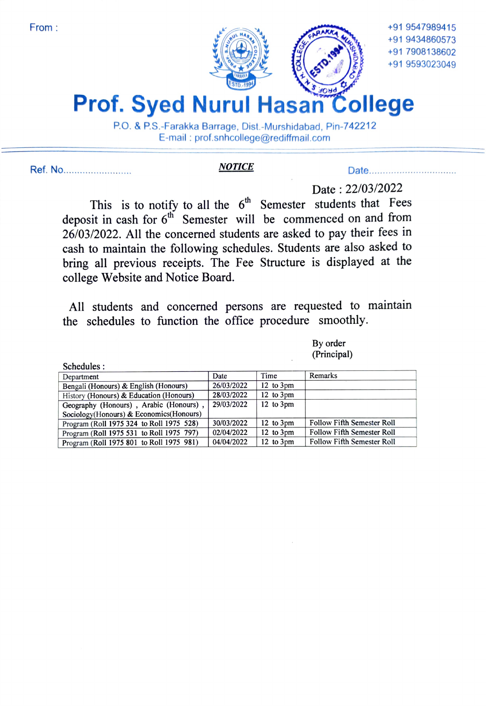

+91 9434860573 +91 7908138602 +91 9593023049

## Prof. Syed Nurul Hasan College P.O. & P.S.-Farakka Barrage, Dist.-Murshidabad, Pin-742212

E-mail: prof.snhcollege@rediffmail.com

Ref. No.. NOTICE Date..

Schedules

## Date: 22/03/2022

This is to notify to all the  $6<sup>th</sup>$  Semester students that Fees deposit in cash for  $6<sup>th</sup>$  Semester will be commenced on and from 26/03/2022. All the concerned students are asked to pay their fees in cash to maintain the following schedules. Students are also asked to bring all previous receipts. The Fee Structure is displayed at the college Website and Notice Board.

All students and concerned persons are requested to maintain the schedules to function the office procedure smoothly.

| By order    |
|-------------|
| (Principal) |

| Schedules.                               |            |                       |                                   |
|------------------------------------------|------------|-----------------------|-----------------------------------|
| Department                               | Date       | Time                  | Remarks                           |
| Bengali (Honours) & English (Honours)    | 26/03/2022 | $12$ to $3 \text{pm}$ |                                   |
| History (Honours) & Education (Honours)  | 28/03/2022 | 12 to $3 \text{pm}$   |                                   |
| Geography (Honours), Arabic (Honours),   | 29/03/2022 | $12$ to $3 \text{pm}$ |                                   |
| Sociology(Honours) & Economics(Honours)  |            |                       |                                   |
| Program (Roll 1975 324 to Roll 1975 528) | 30/03/2022 | $12$ to $3 \text{pm}$ | <b>Follow Fifth Semester Roll</b> |
| Program (Roll 1975 531 to Roll 1975 797) | 02/04/2022 | $12$ to $3 \text{pm}$ | <b>Follow Fifth Semester Roll</b> |
| Program (Roll 1975 801 to Roll 1975 981) | 04/04/2022 | $12$ to $3 \text{pm}$ | <b>Follow Fifth Semester Roll</b> |
|                                          |            |                       |                                   |